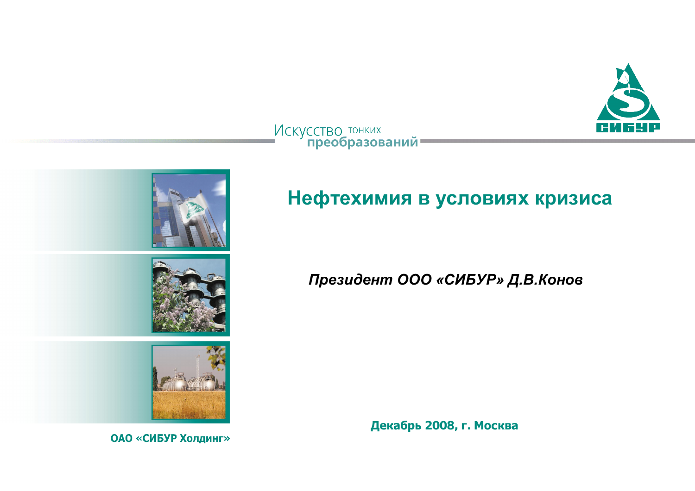

# Искусство тонких<br>• преобразований



# Нефтехимия в условиях кризиса

#### Президент ООО «СИБУР» Д.В. Конов

**Декабрь** 2008, г. Москва

**ОАО «СИБУР Холдинг»**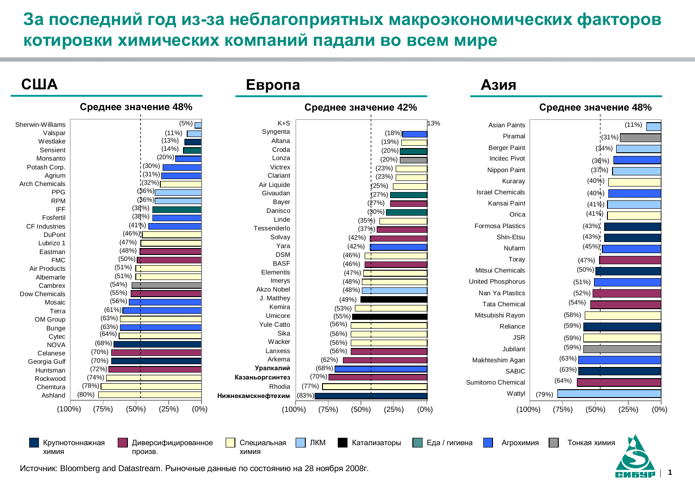# За последний год из-за неблагоприятных макроэкономических факторов **КОТИРОВКИ ХИМИЧЕСКИХ КОМПАНИЙ ПАДАЛИ ВО ВСЕМ МИРЕ**

 $A_3$ ия

**Европа** 

#### C<sub>III</sub>A



**1**

Источник: Bloomberg and Datastream. Рыночные данные по состоянию на 28 ноября 2008г.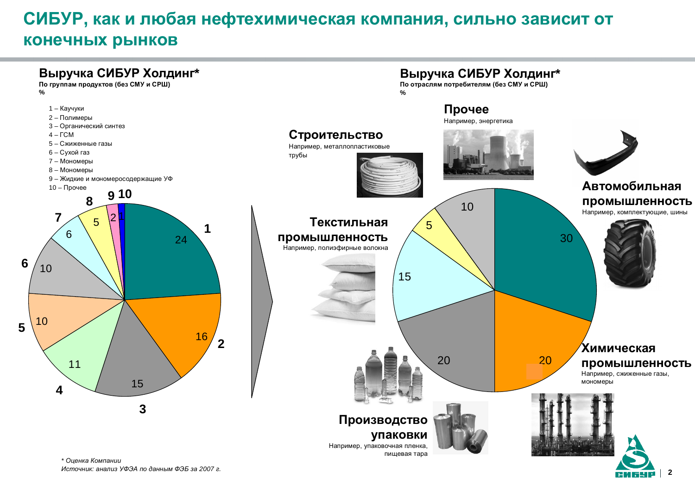# СИБУР, как и любая нефтехимическая компания, сильно зависит от **КОНЕЧНЫХ РЫНКОВ**



*Источник: анализ УФЭА по данным ФЭБ за 2007 г.*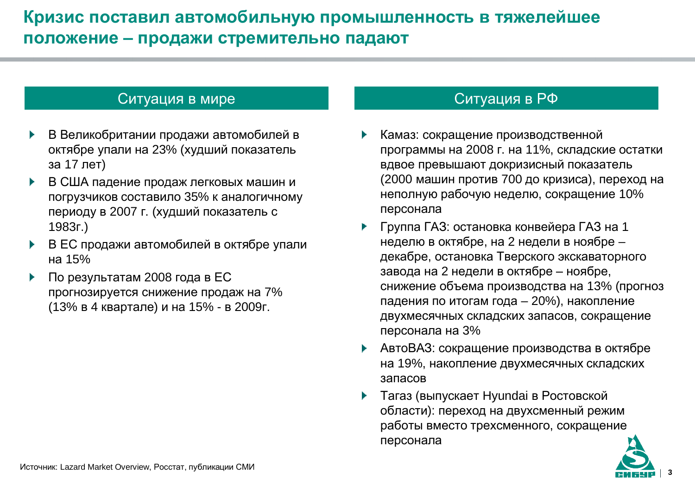# Кризис поставил автомобильную промышленность в тяжелейшее положение - продажи стремительно падают

#### Ситуация в мире и последните ситуация в РФ

- В Великобритании продажи автомобилей в октябре упали на 23% (худший показатель за 17 лет)
- В США падение продаж легковых машин и погрузчиков составило 35% к аналогичному периоду в 2007 г. (худший показатель с 1983ɝ.)
- В ЕС продажи автомобилей в октябре упали ɧɚ 15%
- По результатам 2008 года в ЕС прогнозируется снижение продаж на 7% (13% в 4 квартале) и на 15% - в 2009г.

- Камаз: сокращение производственной программы на 2008 г. на 11%, складские остатки вдвое превышают докризисный показатель (2000 машин против 700 до кризиса), переход на неполную рабочую неделю, сокращение 10% персонала
- Группа ГАЗ: остановка конвейера ГАЗ на 1 неделю в октябре, на 2 недели в ноябре – декабре, остановка Тверского экскаваторного завода на 2 недели в октябре - ноябре, снижение объема производства на 13% (прогноз падения по итогам года – 20%), накопление двухмесячных складских запасов, сокращение персонала на 3%
- ▶ АвтоВАЗ: сокращение производства в октябре на 19%, накопление двухмесячных складских запасов
- Тагаз (выпускает Hyundai в Ростовской области): переход на двухсменный режим работы вместо трехсменного, сокращение персонала

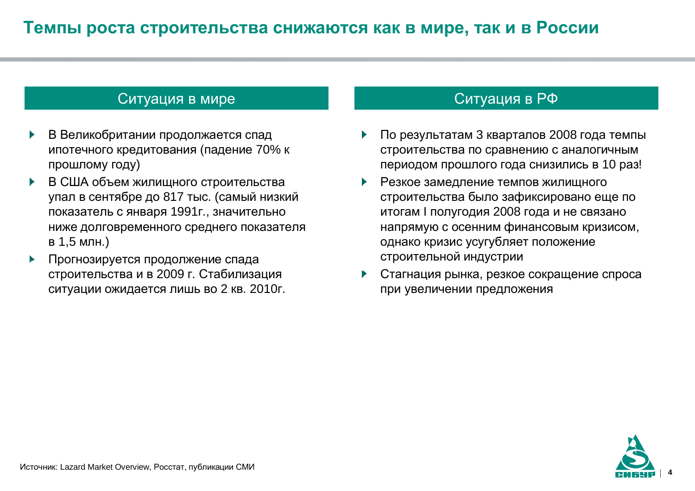#### Ситуация в мире и последните ситуация в РФ

- В Великобритании продолжается спад ипотечного кредитования (падение 70% к прошлому году)
- В США объем жилищного строительства упал в сентябре до 817 тыс. (самый низкий показатель с января 1991 г., значительно ниже долговременного среднего показателя в 1,5 млн.)
- Прогнозируется продолжение спада строительства и в 2009 г. Стабилизация ситуации ожидается лишь во 2 кв. 2010г.

- По результатам 3 кварталов 2008 года темпы строительства по сравнению с аналогичным периодом прошлого года снизились в 10 раз!
- Резкое замедление темпов жилищного строительства было зафиксировано еще по итогам I полугодия 2008 года и не связано напрямую с осенним финансовым кризисом, однако кризис усугубляет положение строительной индустрии
- Стагнация рынка, резкое сокрашение спроса при увеличении предложения

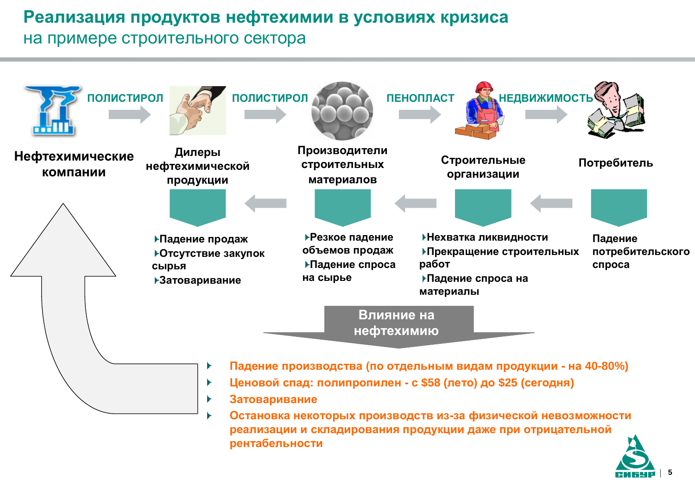### Реализация продуктов нефтехимии в условиях кризиса

#### на примере строительного сектора



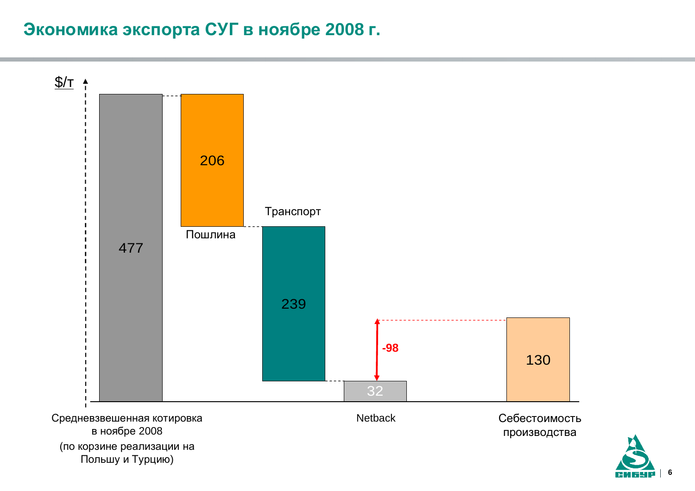# Зкономика экспорта СУГ в ноябре 2008 г.

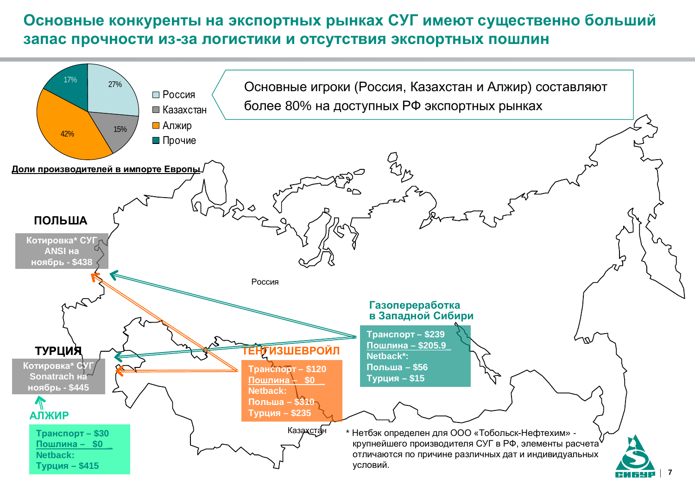### Основные конкуренты на экспортных рынках СУГ имеют существенно больший запас прочности из-за логистики и отсутствия экспортных пошлин

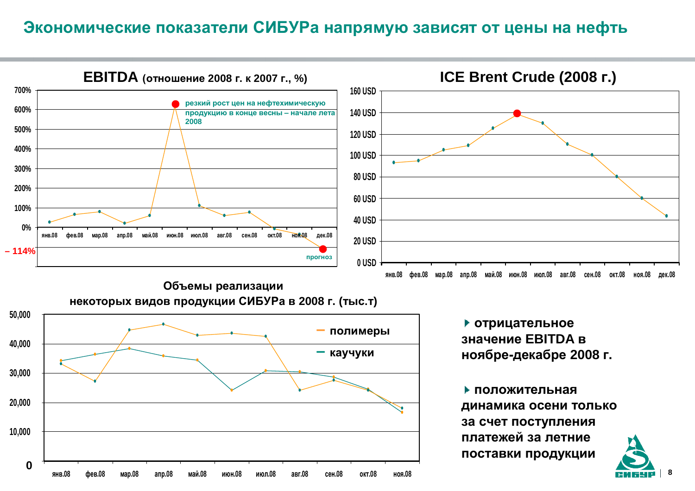#### Экономические показатели СИБУРа напрямую зависят от цены на нефть

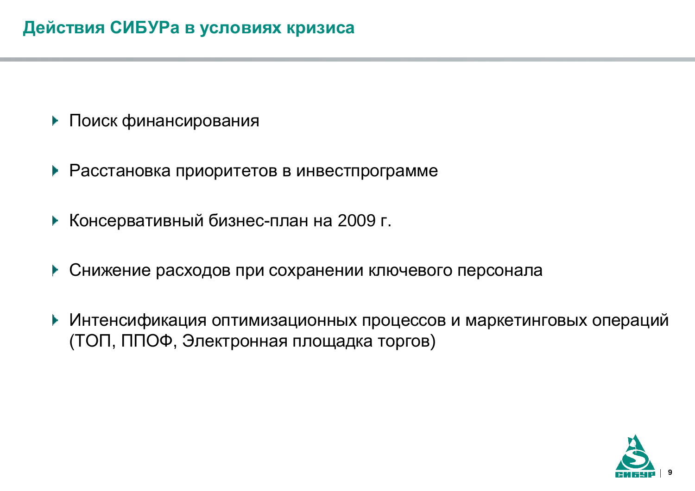- Поиск финансирования
- ▶ Расстановка приоритетов в инвестпрограмме
- ▶ Консервативный бизнес-план на 2009 г.
- ▶ Снижение расходов при сохранении ключевого персонала
- ▶ Интенсификация оптимизационных процессов и маркетинговых операций (ТОП, ППОФ, Электронная площадка торгов)

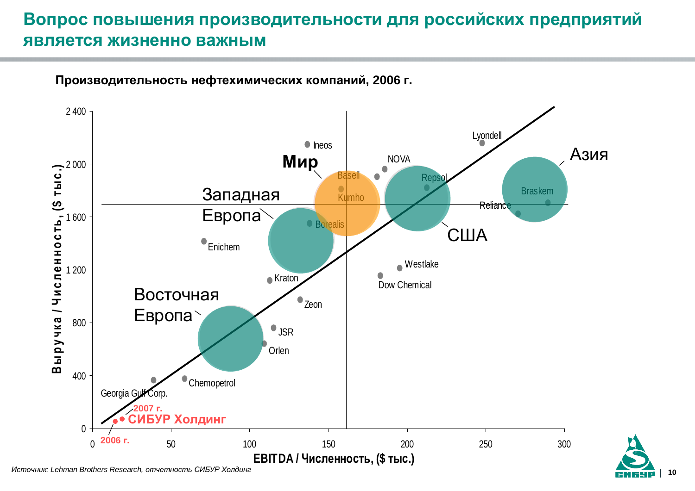# Вопрос повышения производительности для российских предприятий **ЯВЛЯЕТСЯ ЖИЗНЕННО ВАЖНЫМ**



**10**

Производительность нефтехимических компаний, 2006 г.

*Источник: Lehman Brothers Research, отчетность СИБУР Холдинг*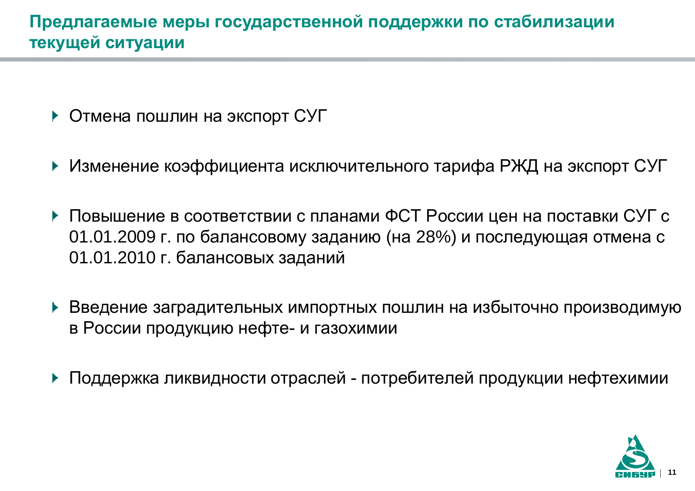- Отмена пошлин на экспорт СУГ
- ▶ Изменение коэффициента исключительного тарифа РЖД на экспорт СУГ
- $\blacktriangleright$  Повышение в соответствии с планами ФСТ России цен на поставки СУГ с 01.01.2009 г. по балансовому заданию (на 28%) и последующая отмена с 01.01.2010 г. балансовых заданий
- ▶ Введение заградительных импортных пошлин на избыточно производимую в России продукцию нефте- и газохимии
- Поддержка ликвидности отраслей потребителей продукции нефтехимии

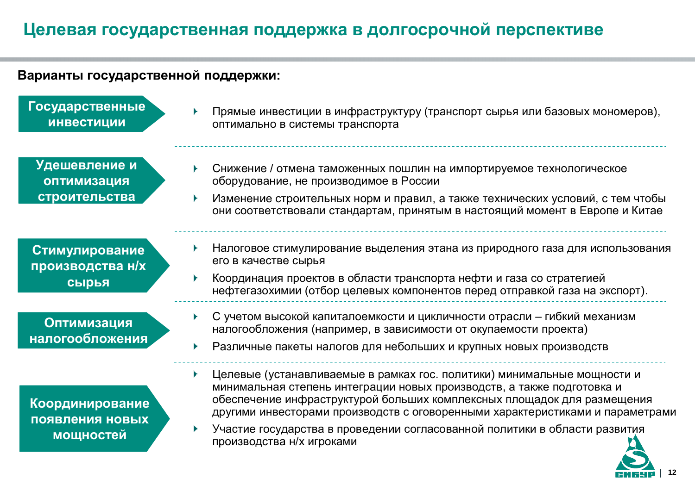# Целевая государственная поддержка в долгосрочной перспективе

#### Варианты государственной поддержки:

Государственные **ИНВЕСТИЦИИ** 

Прямые инвестиции в инфраструктуру (транспорт сырья или базовых мономеров), оптимально в системы транспорта

**Удешевление и ɨɩɬɢɦɢɡɚɰɢɹ** строительства

Стимулирование производства н/х **СЫРЬЯ** 

**Оптимизация НАЛОГООбложения** 

Координирование ПОЯВЛ**ЕНИЯ НОВЫХ мощностей** 

- Снижение / отмена таможенных пошлин на импортируемое технологическое оборудование, не производимое в России
- Изменение строительных норм и правил, а также технических условий, с тем чтобы они соответствовали стандартам, принятым в настоящий момент в Европе и Китае
- Налоговое стимулирование выделения этана из природного газа для использования его в качестве сырья
- Координация проектов в области транспорта нефти и газа со стратегией нефтегазохимии (отбор целевых компонентов перед отправкой газа на экспорт).
- С учетом высокой капиталоемкости и цикличности отрасли гибкий механизм налогообложения (например, в зависимости от окупаемости проекта)
- Различные пакеты налогов для небольших и крупных новых производств
- $\blacktriangleright$  . Целевые (устанавливаемые в рамках гос. политики) минимальные мощности и минимальная степень интеграции новых производств, а также подготовка и обеспечение инфраструктурой больших комплексных площадок для размещения другими инвесторами производств с оговоренными характеристиками и параметрами
- Участие государства в проведении согласованной политики в области развития производства н/х игроками

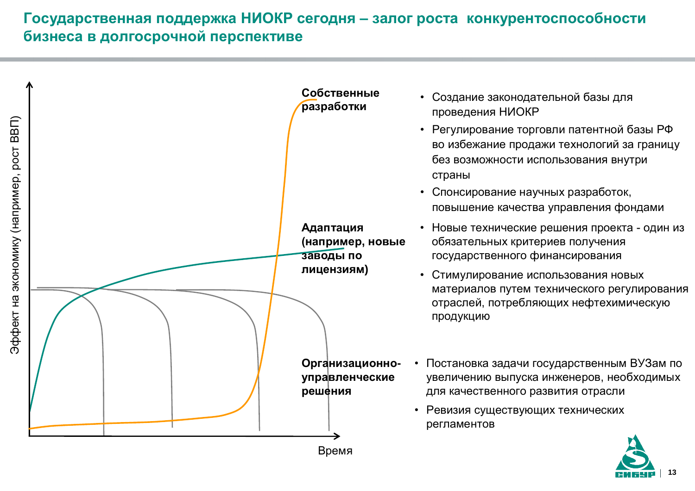#### Государственная поддержка НИОКР сегодня - залог роста конкурентоспособности **Еизнеса в долгосрочной перспективе**



**13**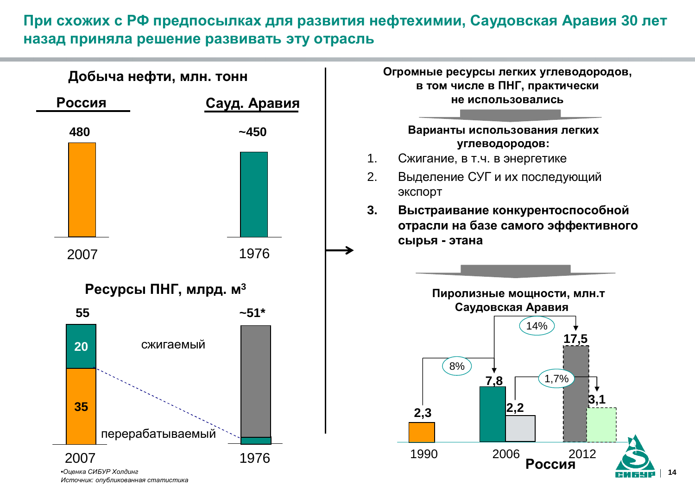#### При схожих с РФ предпосылках для развития нефтехимии, Саудовская Аравия 30 лет **НАЗАД ПРИНЯЛА РЕШЕНИЕ РАЗВИВАТЬ ЭТУ ОТРАСЛЬ**



 $M$ сточник: опубликованная статистика